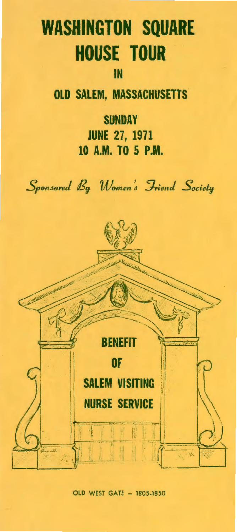## **WASHINGTON SQUARE HOUSE TOUR**

## IN

**OLD SALEM, MASSACHUSETTS** 

**SUNDAY JUNE** 27, 1971 **10 A.M. TO 5 P.M.** 



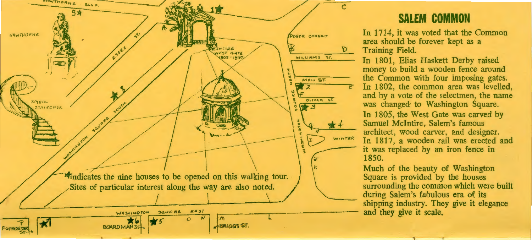

## **SALEM COMMON**

In 1714, it was voted that the Common area should be forever kept as a Training Field.

In 1801, Elias Haskett Derby raised money to build a wooden fence around the Common with four imposing gates. In 1802, the common area was levelled, and by a vote of the selectmen, the name was changed to Washington Square. In 1805, the West Gate was carved by Samuel McIntire, Salem's famous architect, wood carver, and designer. In 1817, a wooden rail was erected and it was replaced by an iron fence in 1850.

Much of the beauty of Washington Square is provided by the houses surrounding the common which were built during Salem's fabulous era of its shipping industry. They give it elegance and they give it scale,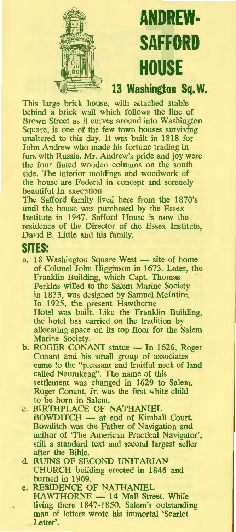

# **ANDREW-SAFFORD HOUSE**

### 13 Washington Sq. W.

This large brick house, with attached stable behind a brick wall which follows the line of Brown Street as it curves around into Washington Square, is one of the few town houses surviving unaltered to this day. It was built in 1818 for John Andrew who made his fortune trading in furs with Russia. Mr. Andrew's pride and joy were the four fluted wooden columns on the south side. The interior moldings and woodwork of the house are Federal in concept and serenely beautiful in execution.

The Safford family lived here from the 1870's until the house was purchased by the Essex Institute in 1947. Safford House is now the residence of the Director of the Essex Institute, David B. Little and his family.

#### **SITES:**

- a. 18 Washington Square West site of home of Colonel John Higginson in 1673. Later, the Franklin Building, which Capt. Thomas Perkins willed to the Salem Marine Society in 1833, was designed by Samuel McIntire. In 1925, the present Hawthorne Hotel was built. Like the Franklin Building, the hotel has carried on the tradition by allocating space on its top floor for the Salem Marine Society.
- b. ROGER CONANT statue In 1626, Roger Conant and his small group of associates came to the "pleasant and fruitful neck of land called Naumkeag". The name of this settlement was changed in 1629 to Salem. Roger Conant, Jr. was the first white child to be born in Salem.
- c. BIRTHPLACE OF NATHANIEL BOWDITCH - at end of Kimball Court. Bowditch was the Father of Navigation and author of 'The American Practical Navigator', still a standard text and second largest seller after the Bible.
- d. RUINS OF SECOND UNITARIAN CHURCH building erected in 1846 and burned in 1969
- e. RESIDENCE OF NATHANIEL HAWTHORNE - 14 Mall Street. While living there 1847-1850, Salem's outstanding man of letters wrote his immortal 'Scarlet Letter'.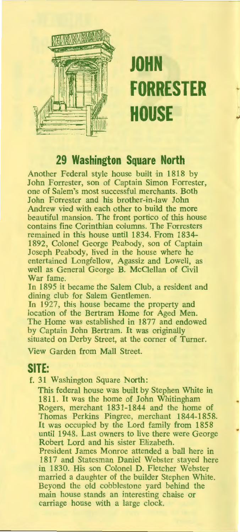

# **JOHN FORRESTER HOUSE**

1

## **29 Washington Square North**

Another Federal style house built in 1818 by John Forrester, son of Captain Simon Forrester, one of Salem's most successful merchants. Both John Forrester and his brother-in-law John Andrew vied with each other to build the more beautiful mansion. The front portico of this house contains fine Corinthian columns. The Forresters remained in this house until 1834. From 1834- 1892, Colonel George Peabody, son of Captain Joseph Peabody, lived in the house where he entertained Longfellow, Agassiz and Lowell, as well as General George B. McClellan of Civil War fame.

In 1895 it became the Salem Club, a resident and dining club for Salem Gentlemen.

In 1927, this house became the property and location of the Bertram Home for Aged Men. The Home was established in 1877 and endowed by Captain John Bertram. It was originally situated on Derby Street, at the corner of Turner.

View Garden from Mall Street.

### **SITE:**

f. 31 Washington Square North:

This federal house was built by Stephen White in 1811. It was the home of John Whitingham Rogers, merchant 1831-1844 and the home of Thomas Perkins Pingree, merchant 1844-1858. It was occupied by the Lord family from 1858 until 1948. Last owners to live there were George Robert Lord and his sister Elizabeth. President James Monroe attended a ball here in 1817 and Statesman Daniel Webster stayed here in 1830. His son Colonel D. Fletcher Webster married a daughter of the builder Stephen White.

Beyond the old cobblestone yard behind the main house stands an interesting chaise or carriage house with a large clock.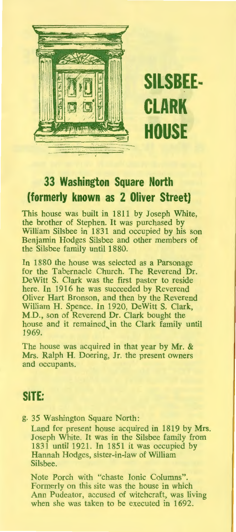

**SILSBEE-CLARK HOUSE** 

## **33 Washington Square North (formerly known as 2 Oliver Street)**

This house was built in 1811 by Joseph White, the brother of Stephen. It was purchased by William Silsbee in 1831 and occupied by his son Benjamin Hodges Silsbee and other members of the Silsbee family until 1880.

In 1880 the house was selected as a Parsonage for the Tabernacle Church. The Reverend **Dr.**  DeWitt S. Clark was the first pastor to reside here. In 1916 he was succeeded by Reverend Oliver Hart Bronson, and then by the Reverend William H. Spence. In 1920, DeWitt S. Clark, **M.D.,** son of Reverend Dr. Clark bought the house and it remained in the Clark family until 1969.

The house was acquired in that year by Mr. & Mrs. Ralph H. Doering, Jr. the present owners and occupants.

### **SITE:**

g. 35 Washington Square North:

Land for present house acquired in 1819 by **Mrs.**  Joseph White. It was in the Silsbee family from 1831 until 1921. In 1851 it was occupied by Hannah Hodges, sister-in-law of William Silsbee.

Note Porch with "chaste Ionic Columns". Formerly on this site was the house in which Ann Pudeator, accused of witchcraft, was living when she was taken to be executed in 1692.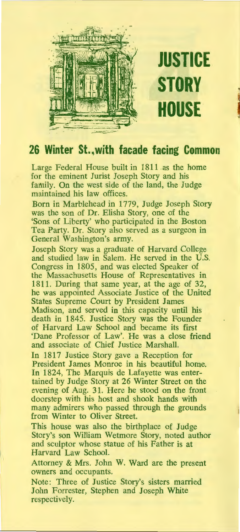

**JUSTICE STORY HOUSE** I

## **26 Winter St., with facade facing Common**

Large Federal House built in 1811 as the home for the eminent Jurist Joseph Story and his family. On the west side of the land, the Judge maintained his law offices.

Born in Marblehead in 1779, Judge Joseph Story was the son of Dr. Elisha Story, one of the 'Sons of Liberty' who participated in the Boston Tea Party. Dr. Story also served as a surgeon in General Washington's army.

Joseph Story was a graduate of Harvard College and studied law in Salem. He served in the **U.S.**  Congress in 1805, and was elected Speaker of the Massachusetts House of Representatives in 1811. During that same year, at the age of 32, he was appointed Associate Justice of the United States Supreme Court by President James Madison, and served in this capacity until his death in 1845. Justice Story was the Founder of Harvard Law School and became its first 'Dane Professor of Law'. He was a close friend and associate of Chief Justice Marshall

In 1817 Justice Story gave a Reception for President James Monroe in his beautiful home. In 1824, The Marquis de Lafayette was entertained by Judge Story at 26 Winter Street on the evening of Aug. 31. Here he stood on the front doorstep with his host and shook hands with many admirers who passed through the grounds from Winter to Oliver Street.

This house was also the birthplace of Judge Story's son William Wetmore Story, noted author and sculptor whose statue of his Father is at Harvard Law School.

Attorney & Mrs. John W. Ward are the present owners and occupants.

Note: Three of Justice Story's sisters married John Forrester, Stephen and Joseph White respectively.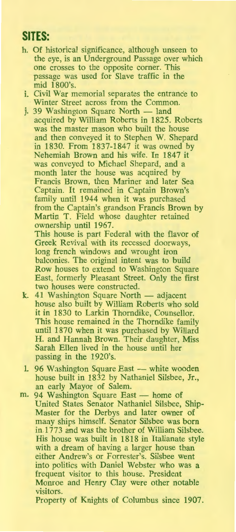## **SITES:**

- h. Of historical significance, although unseen to the eye, is an Underground Passage over which one crosses to the opposite corner. This passage was used for Slave traffic in the mid 1800's.
- i. Civil War memorial separates the entrance to Winter Street across from the Common.
- i. 39 Washington Square North land acquired by William Roberts in 1825. Roberts was the master mason who built the house and then conveyed it to Stephen W. Shepard in 1830. From 1837-1847 it was owned by Nehemiah Brown and his wife. In 1847 it was conveyed to Michael Shepard, and a month later the house was acquired by Francis Brown, then Mariner and later Sea Captain. It remained in Captain Brown's family until 1944 when it was purchased from the Captain's grandson Francis Brown by Martin T. Field whose daughter retained ownership until 1967.

This house is part Federal with the flavor of Greek Revival with its recessed doorways, long french windows and wrought iron balconies. The original intent was to build Row houses to extend to Washington Square East, formerly Pleasant Street. Only the first two houses were constructed.

- k. 41 Washington Square North adjacent house also built by William Roberts who sold it in 1830 to Larkin Thorndike, Counsellor. This house remained in the Thorndike family until 1870 when it was purchased by Willard **H.** and Hannah Brown. Their daughter, Miss Sarah Ellen lived in the house until her passing in the 1920's.
- 1. 96 Washington Square East white wooden house built in 1832 by Nathaniel Silsbee, **Jr.,**  an early Mayor of Salem.
- m. 94 Washington Square East home of United States Senator Nathaniel Silsbee, Ship-Master for the Derbys and later owner of many ships himself. Senator Silsbee was born in.1773 and was the brother of William Silsbee. His house was built in 1818 in Italianate style with a dream of having a larger house than either Andrew's or Forrester's. Silsbee went into politics with Daniel Webster who was a frequent visitor to this house. President Monroe and Henry Clay were other notable visitors.

Property of Knights of Columbus since 1907.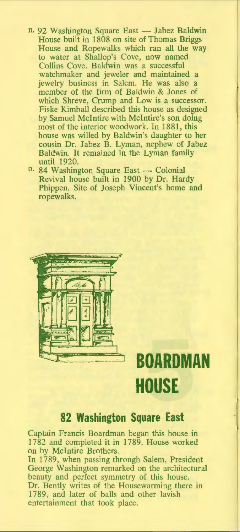- n. 92 Washington Square East Jabez Baldwin House built in 1808 on site of Thomas Briggs House and Ropewalks which ran all the way to water at Shallop's Cove, now named Collins Cove. Baldwin was a successful watchmaker and jeweler and maintained a jewelry business in Salem. He was also a member of the firm of Baldwin & Jones of which Shreve, Crump and Low is a successor. Fiske Kimball described this house as designed by Samuel McIntire with Mclntire's son doing most of the interior woodwork. In 1881, this house was willed by Baldwin's daughter to her cousin Dr. Jabez B. Lyman, nephew of Jabez Baldwin. It remained in the Lyman family until 1920.
- <sup>0.</sup> 84 Washington Square East Colonial Revival house built in 1900 by Dr. Hardy Phippen. Site of Joseph Vincent's home and ropewalks.



## **BOARDMAN HOUSE**

### **82 Washington Square East**

Captain Francis Boardman began this house in 1782 and completed it in 1789. House worked on by McIntire Brothers.

In 1789, when passing through Salem, President George Washington remarked on the architectural beauty and perfect symmetry of this house. Dr. Bently writes of the Housewarming there in 1789, and later of balls and other lavish entertainment that took place.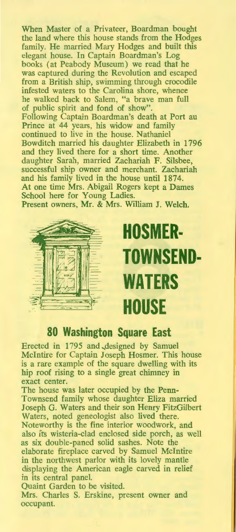When Master of a Privateer, Boardman bought the land where this house stands from the Hodges family. He married Mary Hodges and built this elegant house. In Captain Boardman's Log books (at Peabody Museum) we read that he was captured during the Revolution and escaped from a British ship, swimming through crocodile infested waters to the Carolina shore, whence he walked back to Salem, "a brave man full of public spirit and fond of show". Following Captain Boardman's death at Port au Prince at 44 years, his widow and family continued to live in the house. Nathaniel Bowditch married his daughter Elizabeth in 1796 and they lived there for a short time. Another daughter Sarah, married Zachariah F. Silsbee, successful ship owner and merchant. Zachariah and his family lived in the house until 1874. At one time Mrs. Abigail Rogers kept a Dames School here for Young Ladies. Present owners, Mr. & Mrs. William J. Welch.



# **HOSMER-TOWNSEND-WATERS HOUSE**

#### **80 Washington Square East**

Erected in 1795 and ,designed by Samuel McIntire for Captain Joseph Hosmer. This house is a rare example of the square dwelling with its hip roof rising to a single great chimney in exact center.

The house was later occupied by the Penn-Townsend family whose daughter Eliza married Joseph G. Waters and their son Henry FitzGilbert Waters, noted geneologist also lived there. Noteworthy is the fine interior woodwork, and also its wisteria-clad enclosed side porch, as well as six double-paned solid sashes. Note the elaborate fireplace carved by Samuel McIntire in the northwest parlor with its lovely mantle displaying the American eagle carved in relief in its central panel.

Quaint Garden to be visited.

Mrs. Charles S. Erskine, present owner and occupant.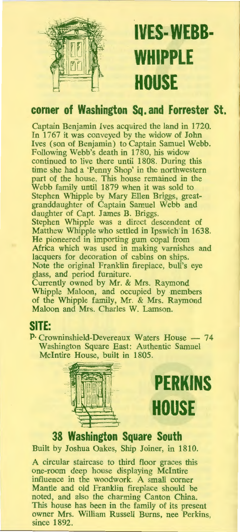

# **IVES-WEBB-WHIPPLE HOUSE**

## **corner of Washington Sq. and Forrester St.**

Captain Benjamin Ives acquired the land in 1720. In 1767 it was conveyed by the widow of John Ives (son of Benjamin) to Captain Samuel Webb. Following Webb's death in 1780, his widow continued to live there until 1808. During this time she had a 'Penny Shop' in the northwestern part of the house. This house remained in the Webb family until 1879 when it was sold to Stephen Whipple by Mary Ellen Briggs, greatgranddaughter of Captain Samuel Webb and daughter of Capt. James B. Briggs. Stephen Whipple was a direct descendent of Matthew Whipple who settled in Ipswich in 1638. He pioneered in importing gum copal from Africa which was used in making varnishes and lacquers for decoration of cabins on ships. Note the original Franklin fireplace, bull's eye glass, and period furniture.

Currently owned by Mr. & Mrs. Raymond Whipple Maloon, and occupied by members of the Whipple family, Mr. & Mrs. Raymond Maloon and Mrs. Charles W. Lamson.

## **SITE:**

P. Crowninshield-Devereaux Waters House - 74 Washington Square East: Authentic Samuel McIntire House, built in 1805.



**PERKINS HOUSE** 

**38 Washington Square South**  Built by Joshua Oakes, Ship Joiner, in 1810.

A circular staircase to third floor graces this one-room deep house displaying McIntire influence in the woodwork. A small corner Mantle and old Franklin fireplace should be noted, and also the charming Canton China. This house has been in the family of its present owner Mrs. William Russell Burns, nee Perkins, since 1892.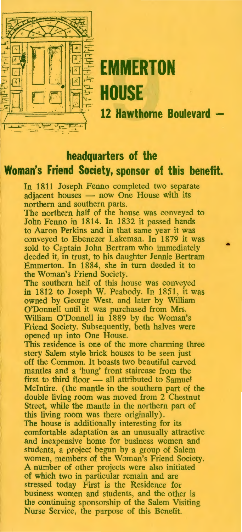

# **EMMERTON** ~D □ d mt **HOUSE**

12 Hawthorne Boulevard -

•

### **headquarters of the**

## **Woman's Friend Society, sponsor of this benefit.**

In 1811 Joseph Fenno completed two separate adjacent houses - now One House with its northern and southern parts.

The northern half of the house was conveyed to John Fenno in 1814. In 1832 it passed hands to Aaron Perkins and in that same year it was conveyed to Ebenezer Lakeman. In 1879 it was sold to Captain John Bertram who immediately deeded it, in trust, to his daughter Jennie Bertram Emmerton. In 1884, she in turn deeded it to the Woman's Friend Society.

The southern half of this house was conveyed in 1812 to Joseph W. Peabody. In 1851, it was owned by George West, and later by William O'Donnell until it was purchased from Mrs. William O'Donnell in 1889 by the Woman's Friend Society. Subsequently, both halves were opened up into One House.

This residence is one of the more charming three story Salem style brick houses to be seen just off the Common. It boasts two beautiful carved mantles and a 'hung' front staircase from the first to third floor - all attributed to Samuel McIntire. ( the mantle in the southern part of the double living room was moved from 2 Chestnut Street, while the mantle in the northern part of this living room was there originally). The house is additionally interesting for its comfortable adaptation as an unusually attractive and inexpensive home for business women and students, a project begun by a group of Salem women, members of the Woman's Friend Society. A number of other projects were also initiated of which two in particular remain and are stressed today First is the Residence for business women and students, and the other is the continuing sponsorship of the Salem Visiting Nurse Service, the purpose of this Benefit.